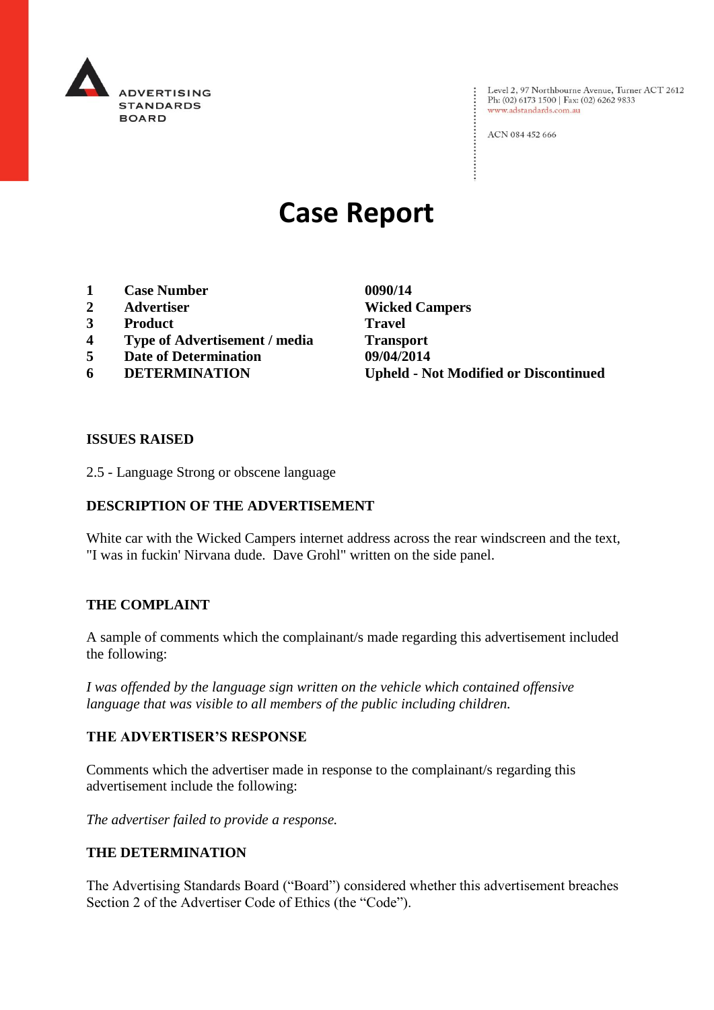

: Level 2, 97 Northbourne Avenue, Turner ACT 2612<br>: Ph: (02) 6173 1500 | Fax: (02) 6262 9833 Ph: (02) 6173 1500 | Fax: (02) 6262 9833 www.adstandards.com.au

ACN 084 452 666

# **Case Report**

- **1 Case Number 0090/14**
- 
- **3 Product Travel**
- **4 Type of Advertisement / media Transport**
- **5 Date of Determination 09/04/2014**
- 

**2 Advertiser Wicked Campers 6 DETERMINATION Upheld - Not Modified or Discontinued**

 $\vdots$ 

#### **ISSUES RAISED**

2.5 - Language Strong or obscene language

## **DESCRIPTION OF THE ADVERTISEMENT**

White car with the Wicked Campers internet address across the rear windscreen and the text, "I was in fuckin' Nirvana dude. Dave Grohl" written on the side panel.

#### **THE COMPLAINT**

A sample of comments which the complainant/s made regarding this advertisement included the following:

*I was offended by the language sign written on the vehicle which contained offensive language that was visible to all members of the public including children.*

#### **THE ADVERTISER'S RESPONSE**

Comments which the advertiser made in response to the complainant/s regarding this advertisement include the following:

*The advertiser failed to provide a response.*

## **THE DETERMINATION**

The Advertising Standards Board ("Board") considered whether this advertisement breaches Section 2 of the Advertiser Code of Ethics (the "Code").